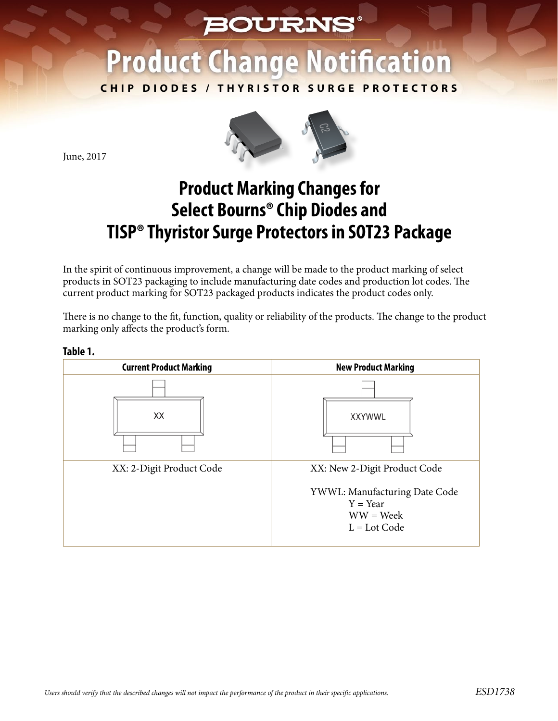## **BOURNS®**

## **Product Change Notification**

**CHIP DIODES / THYRISTOR SURGE PROTECTORS**



June, 2017

**Table 1.**

## **Product Marking Changes for Select Bourns® Chip Diodes and TISP® Thyristor Surge Protectors in SOT23 Package**

In the spirit of continuous improvement, a change will be made to the product marking of select products in SOT23 packaging to include manufacturing date codes and production lot codes. The current product marking for SOT23 packaged products indicates the product codes only.

There is no change to the fit, function, quality or reliability of the products. The change to the product marking only affects the product's form.

| <b>Current Product Marking</b> | <b>New Product Marking</b>                                                          |  |  |  |
|--------------------------------|-------------------------------------------------------------------------------------|--|--|--|
| XX                             | <b>XXYWWL</b>                                                                       |  |  |  |
| XX: 2-Digit Product Code       | XX: New 2-Digit Product Code                                                        |  |  |  |
|                                | YWWL: Manufacturing Date Code<br>$Y = Year$<br>$WW = \text{Week}$<br>$L = Lot Code$ |  |  |  |